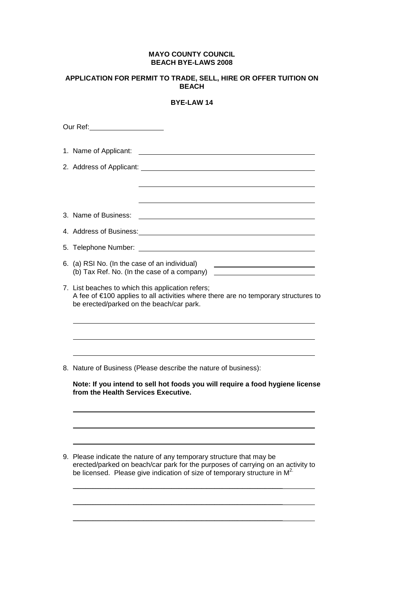## **MAYO COUNTY COUNCIL BEACH BYE-LAWS 2008**

## **APPLICATION FOR PERMIT TO TRADE, SELL, HIRE OR OFFER TUITION ON BEACH**

## **BYE-LAW 14**

| <u> 1989 - Johann Barbara, martin amerikan basal dan berasal dalam basal dalam basal dalam basal dalam basal dala</u><br><u> 1980 - Johann Barn, mars eta bat erroman erroman erroman erroman ez erroman erroman ez erroman ez erroman e</u> |  |
|----------------------------------------------------------------------------------------------------------------------------------------------------------------------------------------------------------------------------------------------|--|
| 1. Name of Applicant:                                                                                                                                                                                                                        |  |
|                                                                                                                                                                                                                                              |  |
| 3. Name of Business:                                                                                                                                                                                                                         |  |
|                                                                                                                                                                                                                                              |  |
| 5. Telephone Number:                                                                                                                                                                                                                         |  |
| 6. (a) RSI No. (In the case of an individual)                                                                                                                                                                                                |  |
| 7. List beaches to which this application refers;<br>A fee of €100 applies to all activities where there are no temporary structures to<br>be erected/parked on the beach/car park.                                                          |  |
|                                                                                                                                                                                                                                              |  |
| 8. Nature of Business (Please describe the nature of business):                                                                                                                                                                              |  |
| Note: If you intend to sell hot foods you will require a food hygiene license<br>from the Health Services Executive.                                                                                                                         |  |
|                                                                                                                                                                                                                                              |  |
| 9. Please indicate the nature of any temporary structure that may be<br>erected/parked on beach/car park for the purposes of carrying on an activity to<br>be licensed. Please give indication of size of temporary structure in $M2$        |  |
|                                                                                                                                                                                                                                              |  |

\_\_\_\_\_\_\_\_\_\_\_\_\_\_\_\_\_\_\_\_\_\_\_\_\_\_\_\_\_\_\_\_\_\_\_\_\_\_\_\_\_\_\_\_\_\_\_\_\_\_\_\_\_\_\_\_\_\_\_\_\_\_\_\_\_\_\_\_\_\_\_\_\_\_\_\_\_\_\_\_\_\_\_